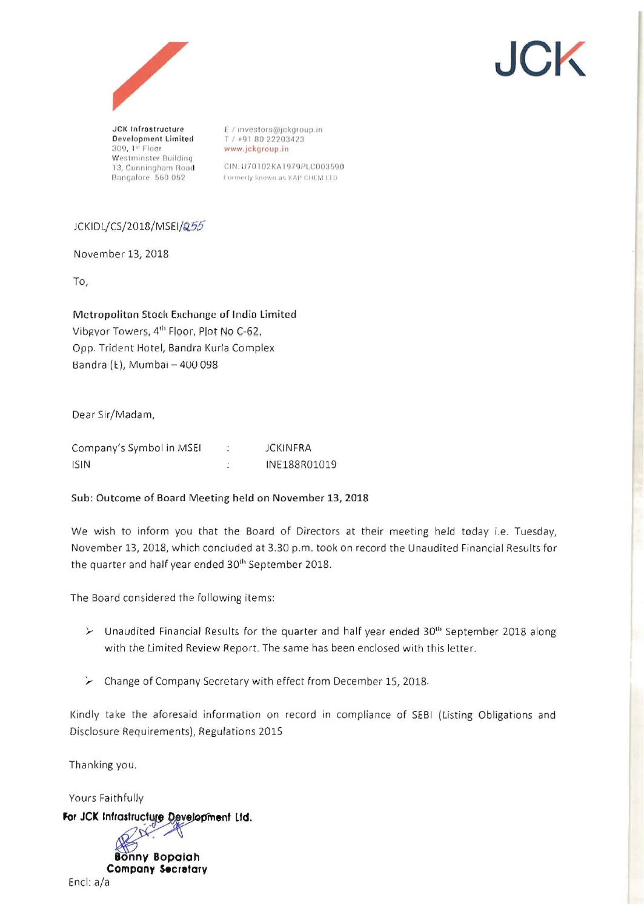



Development Limited 309, 1st Floor Westminster Building 13, Cunningham Road Bangalore 560 052

E / investors@jckgroup.in T / +91 80 22203423 www.jckgroup.in

CIN: U70102KA1979PLC003590 Formerly known as KAP CHEM LTD

## JCKIDL/CS/2018/MSEI/255

November 13, 2018

To,

Metropoliton Stock Exchange of India Limited Vibgyor Towers, 4<sup>th</sup> Floor, Plot No C-62, Opp. Trident Hotel, Bandra Kurla Complex Bandra (Ł), Mumbai - 400 098

Dear Sir/Madam,

| Company's Symbol in MSEI | <b>JCKINFRA</b> |
|--------------------------|-----------------|
| <b>ISIN</b>              | INE188R01019    |

### Sub: Outcome of Board Meeting held on November 13, 2018

We wish to inform you that the Board of Directors at their meeting held today i.e. Tuesday, November 13, 2018, which concluded at 3.30 p.m. took on record the Unaudited Financial Results for the quarter and half year ended 30<sup>th</sup> September 2018.

The Board considered the following items:

- $\triangleright$  Unaudited Financial Results for the quarter and half year ended 30<sup>th</sup> September 2018 along with the Limited Review Report. The same has been enclosed with this letter.
- > Change of Company Secretary with effect from December 15, 2018.

Kindly take the aforesaid information on record in compliance of SEBI (Listing Obligations and Disclosure Requirements), Regulations 2015

Thanking you.

Yours Faithfully

For JCK Infrastructure Development Ltd.

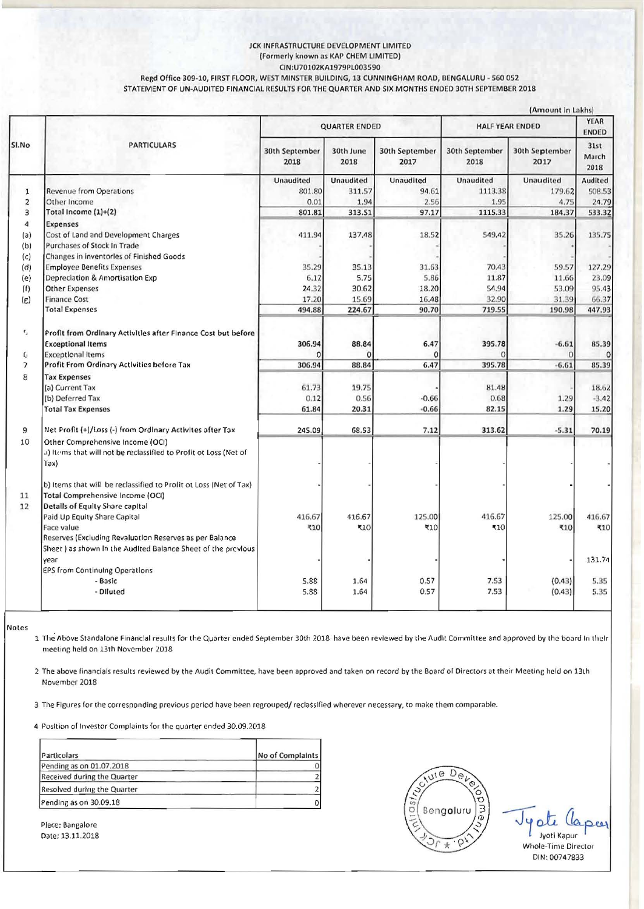#### JCK INFRASTRUCTURE DEVELOPMENT LIMITED (Formerly known as KAP CHEM LIMITED)

CIN:U70102KA1979PL003590

Regd Office 309-10, FIRST FLOOR, WEST MINSTER BUILDING, 13 CUNNINGHAM ROAD, BENGALURU - 560 052 STATEMENT OF UN-AUDITED FINANCIAL RESULTS FOR THE QUARTER AND SIX MONTHS ENDED 30TH SEPTEMBER 2018

|                          |                                                                                                              |                        |                   |                        |                        | (Amount in Lakhs)      |                       |  |
|--------------------------|--------------------------------------------------------------------------------------------------------------|------------------------|-------------------|------------------------|------------------------|------------------------|-----------------------|--|
| SI.No                    | <b>PARTICULARS</b>                                                                                           | <b>QUARTER ENDED</b>   |                   |                        | <b>HALF YEAR ENDED</b> |                        | YEAR<br><b>ENDED</b>  |  |
|                          |                                                                                                              | 30th September<br>2018 | 30th June<br>2018 | 30th September<br>2017 | 30th September<br>2018 | 30th September<br>2017 | 31st<br>March<br>2018 |  |
|                          |                                                                                                              | Unaudited              | Unaudited         | Unaudited              | Unaudited              | Unaudited              | Audited               |  |
| $\mathbf{1}$             | <b>Revenue from Operations</b>                                                                               | 801.80                 | 311.57            | 94.61                  | 1113.38                | 179.62                 | 508.53                |  |
| $\overline{\mathbf{z}}$  | Other Income                                                                                                 | 0.01                   | 1.94              | 2.56                   | 1.95                   | 4.75                   | 24.79                 |  |
| 3                        | Total Income (1)+(2)                                                                                         | 801.81                 | 313.51            | 97.17                  | 1115.33                | 184.37                 | 533.32                |  |
| $\overline{a}$           | <b>Expenses</b>                                                                                              |                        |                   |                        |                        |                        |                       |  |
| (a)                      | Cost of Land and Development Charges                                                                         | 411.94                 | 137.48            | 18.52                  | 549.42                 | 35.26                  | 135.75                |  |
| (b)                      | Purchases of Stock In Trade                                                                                  |                        |                   |                        |                        |                        |                       |  |
| (c)                      | Changes in Inventorles of Finished Goods                                                                     |                        |                   |                        |                        |                        |                       |  |
| (d)                      | <b>Employee Benefits Expenses</b>                                                                            | 35.29                  | 35.13             | 31.63                  | 70.43                  | 59.57                  | 127.29                |  |
| (e)                      | Depreciation & Amortisation Exp                                                                              | 6.17                   | 5.75              | 5.86                   | 11.87                  | 11.66                  | 23.09                 |  |
| (f)                      | <b>Other Expenses</b>                                                                                        | 24.32                  | 30.62             | 18.20                  | 54.94                  | 53.09                  | 95.43                 |  |
| (E)                      | <b>Finance Cost</b>                                                                                          | 17.20                  | 15.69             | 16.48                  | 32.90                  | 31.39                  | 66.37                 |  |
|                          | <b>Total Expenses</b>                                                                                        | 494.88                 | 224.67            | 90.70                  | 719.55                 | 190.98                 | 447.93                |  |
| $\mathfrak{e}_j$         | Profit from Ordinary Activities after Finance Cost but before                                                |                        |                   |                        |                        |                        |                       |  |
|                          | <b>Exceptional Items</b>                                                                                     | 306.94                 | 88.84             | 6.47                   | 395.78                 | $-6.61$                | 85.39                 |  |
| G                        | <b>Exceptional Items</b>                                                                                     | $\Omega$               |                   |                        |                        | $\Omega$               |                       |  |
| $\overline{\phantom{a}}$ | Profit From Ordinary Activities before Tax                                                                   | 306.94                 | 88.84             | 6.47                   | 395.78                 | $-6.61$                | 85.39                 |  |
| 8                        | <b>Tax Expenses</b>                                                                                          |                        |                   |                        |                        |                        |                       |  |
|                          | (a) Current Tax                                                                                              | 61.73                  | 19.75             |                        | 81.48                  |                        | 18.62                 |  |
|                          | (b) Deferred Tax                                                                                             | 0.12                   | 0.56              | $-0.66$                | 0.68                   | 1.29                   | $-3.42$               |  |
|                          | <b>Total Tax Expenses</b>                                                                                    | 61.84                  | 20.31             | $-0.66$                | 82.15                  | 1.29                   | 15.20                 |  |
| 9                        | Net Profit (+)/Loss (-) from Ordinary Activites after Tax                                                    | 245.09                 | 68.53             | 7.12                   | 313.62                 | $-5.31$                | 70.19                 |  |
| 10                       | Other Comprehensive Income (OCI)<br>a) Items that will not be reclassified to Profit ot Loss (Net of<br>Tax) |                        |                   |                        |                        |                        |                       |  |
|                          | b) Items that will be reclassified to Profit ot Loss (Net of Tax)                                            |                        |                   |                        |                        |                        |                       |  |
| 11                       | Total Comprehensive Income (OCI)                                                                             |                        |                   |                        |                        |                        |                       |  |
| 12                       | Details of Equity Share capital                                                                              |                        |                   |                        |                        |                        |                       |  |
|                          | Paid Up Equity Share Capital                                                                                 | 416.67                 | 416.67            | 125.00                 | 416.67                 | 125.00                 | 416.67                |  |
|                          | Face value<br>Reserves (Excluding Revaluation Reserves as per Balance                                        | ₹10                    | 510               | 510                    | 510                    | ₹10                    | ₹10                   |  |
|                          | Sheet) as shown in the Audited Balance Sheet of the previous                                                 |                        |                   |                        |                        |                        |                       |  |
|                          | vear                                                                                                         |                        |                   |                        |                        |                        | 131.74                |  |
|                          | EPS from Continuing Operations                                                                               |                        |                   |                        |                        |                        |                       |  |
|                          | - Basic                                                                                                      | 5.88                   | 1.64              | 0.57                   | 7.53                   | (0.43)                 | 5.35                  |  |
|                          | - Diluted                                                                                                    | 5.88                   | 1.64              | 0.57                   | 7.53                   | (0.43)                 | 5.35                  |  |
|                          |                                                                                                              |                        |                   |                        |                        |                        |                       |  |

Notes

1 The Above Standalone Financial results for the Quarter ended September 30th 2018 have been reviewed by the Audit Committee and approved by the board in their meeting held on 13th November 2018

2 The above financials results reviewed by the Audit Committee, have been approved and taken on record by the Board of Directors at their Meeting held on 13th November 2018

3 The Figures for the corresponding previous period have been regrouped/reclassified wherever necessary, to make them comparable.

4 Position of Investor Complaints for the quarter ended 30.09.2018

| Particolars                 | No of Complaints |
|-----------------------------|------------------|
| Pending as on 01.07.2018    |                  |
| Received during the Quarter |                  |
| Resolved during the Quarter |                  |
| Pending as on 30.09.18      | O                |



4 oli rees Jyoti Kapur Whole-Time Director DIN: 00747833

Place: Bangalore Date: 13.11.2018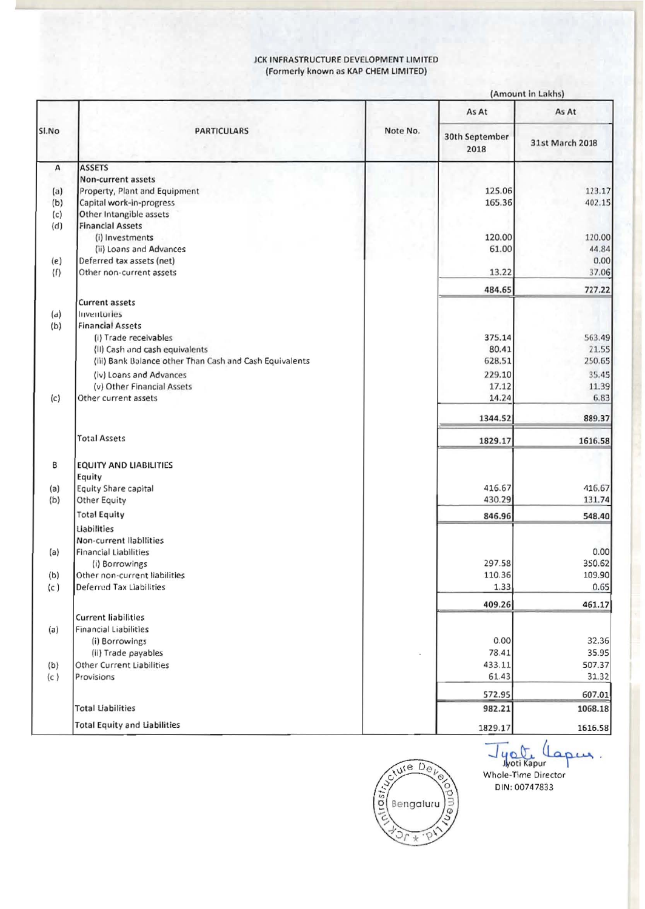#### JCK INFRASTRUCTURE DEVELOPMENT LIMITED (Formerly known as KAP CHEM LIMITED)

|                     |                                                         |          | (Amount in Lakhs)      |                  |  |
|---------------------|---------------------------------------------------------|----------|------------------------|------------------|--|
| SI.No               | <b>PARTICULARS</b>                                      |          | As At                  | As At            |  |
|                     |                                                         | Note No. | 30th September<br>2018 | 31st March 2018  |  |
| А                   | <b>ASSETS</b>                                           |          |                        |                  |  |
|                     | Non-current assets                                      |          |                        |                  |  |
| (a)                 | Property, Plant and Equipment                           |          | 125.06                 | 123.17           |  |
| (b)                 | Capital work-in-progress                                |          | 165.36                 | 402.15           |  |
| (c)                 | Other Intangible assets                                 |          |                        |                  |  |
| (d)                 | <b>Financial Assets</b>                                 |          |                        |                  |  |
|                     | (i) Investments                                         |          | 120.00                 | 120.00           |  |
|                     | (ii) Loans and Advances                                 |          | 61.00                  | 44.84<br>0.00    |  |
| (e)                 | Deferred tax assets (net)<br>Other non-current assets   |          | 13.22                  |                  |  |
| $\langle f \rangle$ |                                                         |          |                        | 37.06            |  |
|                     | Current assets                                          |          | 484.65                 | 727.22           |  |
| (d)                 | Inventories                                             |          |                        |                  |  |
| (b)                 | <b>Financial Assets</b>                                 |          |                        |                  |  |
|                     | (i) Trade receivables                                   |          | 375.14                 | 563.49           |  |
|                     | (II) Cash and cash equivalents                          |          | 80.41                  | 21.55            |  |
|                     | (iii) Bank Balance other Than Cash and Cash Equivalents |          | 628.51                 | 250.65           |  |
|                     | (iv) Loans and Advances                                 |          | 229.10                 | 35.45            |  |
|                     | (v) Other Financial Assets                              |          | 17.12                  | 11.39            |  |
| (c)                 | Other current assets                                    |          | 14.24                  | 6.83             |  |
|                     |                                                         |          | 1344.52                | 889.37           |  |
|                     | <b>Total Assets</b>                                     |          | 1829.17                | 1616.58          |  |
|                     |                                                         |          |                        |                  |  |
| В                   | <b>EQUITY AND LIABILITIES</b>                           |          |                        |                  |  |
|                     | Equity<br>Equity Share capital                          |          | 416.67                 | 416.67           |  |
| (a)<br>(b)          | <b>Other Equity</b>                                     |          | 430.29                 | 131.74           |  |
|                     |                                                         |          |                        |                  |  |
|                     | <b>Total Equity</b>                                     |          | 846.96                 | 548.40           |  |
|                     | Liabilities                                             |          |                        |                  |  |
|                     | Non-current llabilities                                 |          |                        |                  |  |
| (a)                 | Financial Liabilities                                   |          | 297.58                 | 0.00             |  |
|                     | (i) Borrowings<br>Other non-current liabilities         |          | 110.36                 | 350.62<br>109.90 |  |
| (b)                 | Deferred Tax Liabilities                                |          | 1.33                   | 0.65             |  |
| (c)                 |                                                         |          |                        |                  |  |
|                     | <b>Current liabilities</b>                              |          | 409.26                 | 461.17           |  |
| (a)                 | <b>Financial Liabilities</b>                            |          |                        |                  |  |
|                     | (i) Borrowings                                          |          | 0.00                   | 32.36            |  |
|                     | (ii) Trade payables                                     |          | 78.41                  | 35.95            |  |
| (b)                 | Other Current Liabilities                               |          | 433.11                 | 507.37           |  |
| (c)                 | Provisions                                              |          | 61.43                  | 31.32            |  |
|                     |                                                         |          | 572.95                 | 607.01           |  |
|                     | <b>Total Liabilities</b>                                |          | 982.21                 | 1068.18          |  |
|                     | <b>Total Equity and Liabilities</b>                     |          | 1829.17                | 1616.58          |  |



Jyou Lar DIN: 00747833